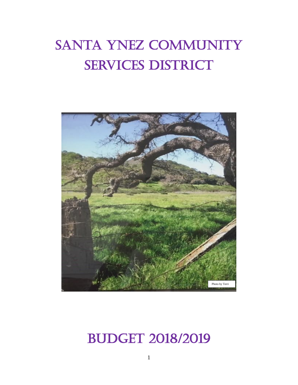# SANTA YNEZ COMMUNITY SERVICES DISTRICT



## BUDGET 2018/2019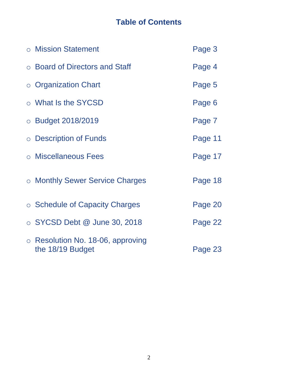### **Table of Contents**

| ○ Mission Statement                                         | Page 3  |
|-------------------------------------------------------------|---------|
| ○ Board of Directors and Staff                              | Page 4  |
| $\circ$ Organization Chart                                  | Page 5  |
| ○ What Is the SYCSD                                         | Page 6  |
| O Budget 2018/2019                                          | Page 7  |
| o Description of Funds                                      | Page 11 |
| o Miscellaneous Fees                                        | Page 17 |
| ○ Monthly Sewer Service Charges                             | Page 18 |
| ○ Schedule of Capacity Charges                              | Page 20 |
| $\circ$ SYCSD Debt $@$ June 30, 2018                        | Page 22 |
| $\circ$ Resolution No. 18-06, approving<br>the 18/19 Budget | Page 23 |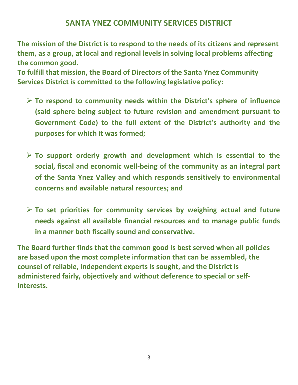#### **SANTA YNEZ COMMUNITY SERVICES DISTRICT**

**The mission of the District is to respond to the needs of its citizens and represent them, as a group, at local and regional levels in solving local problems affecting the common good.**

**To fulfill that mission, the Board of Directors of the Santa Ynez Community Services District is committed to the following legislative policy:**

- ➢ **To respond to community needs within the District's sphere of influence (said sphere being subject to future revision and amendment pursuant to Government Code) to the full extent of the District's authority and the purposes for which it was formed;**
- ➢ **To support orderly growth and development which is essential to the social, fiscal and economic well-being of the community as an integral part of the Santa Ynez Valley and which responds sensitively to environmental concerns and available natural resources; and**
- ➢ **To set priorities for community services by weighing actual and future needs against all available financial resources and to manage public funds in a manner both fiscally sound and conservative.**

**The Board further finds that the common good is best served when all policies are based upon the most complete information that can be assembled, the counsel of reliable, independent experts is sought, and the District is administered fairly, objectively and without deference to special or selfinterests.**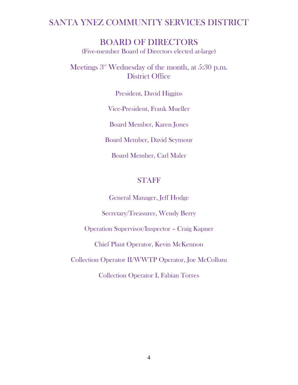#### SANTA YNEZ COMMUNITY SERVICES DISTRICT

BOARD OF DIRECTORS (Five-member Board of Directors elected at-large)

Meetings  $3<sup>rd</sup>$  Wednesday of the month, at 5:30 p.m. District Office

President, David Higgins

Vice-President, Frank Mueller

Board Member, Karen Jones

Board Member, David Seymour

Board Member, Carl Maler

#### STAFF

General Manager, Jeff Hodge

Secretary/Treasurer, Wendy Berry

Operation Supervisor/Inspector – Craig Kapner

Chief Plant Operator, Kevin McKennon

Collection Operator II/WWTP Operator, Joe McCollum

Collection Operator I, Fabian Torres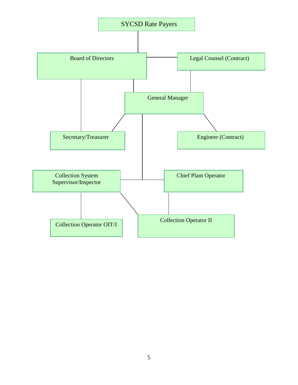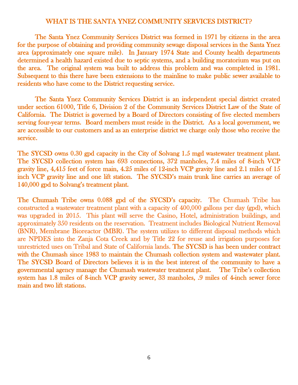#### WHAT IS THE SANTA YNEZ COMMUNITY SERVICES DISTRICT?

The Santa Ynez Community Services District was formed in 1971 by citizens in the area for the purpose of obtaining and providing community sewage disposal services in the Santa Ynez area (approximately one square mile). In January 1974 State and County health departments determined a health hazard existed due to septic systems, and a building moratorium was put on the area. The original system was built to address this problem and was completed in 1981. Subsequent to this there have been extensions to the mainline to make public sewer available to residents who have come to the District requesting service.

 The Santa Ynez Community Services District is an independent special district created under section 61000, Title 6, Division 2 of the Community Services District Law of the State of California. The District is governed by a Board of Directors consisting of five elected members serving four-year terms. Board members must reside in the District. As a local government, we are accessible to our customers and as an enterprise district we charge only those who receive the service.

The SYCSD owns 0.30 gpd capacity in the City of Solvang 1.5 mgd wastewater treatment plant. The SYCSD collection system has 693 connections, 372 manholes, 7.4 miles of 8-inch VCP gravity line, 4,415 feet of force main, 4.25 miles of 12-inch VCP gravity line and 2.1 miles of 15 inch VCP gravity line and one lift station. The SYCSD's main trunk line carries an average of 140,000 gpd to Solvang's treatment plant.

The Chumash Tribe owns 0.088 gpd of the SYCSD's capacity. The Chumash Tribe has constructed a wastewater treatment plant with a capacity of 400,000 gallons per day (gpd), which was upgraded in 2015. This plant will serve the Casino, Hotel, administration buildings, and approximately 350 residents on the reservation. Treatment includes Biological Nutrient Removal (BNR), Membrane Bioreactor (MBR). The system utilizes to different disposal methods which are NPDES into the Zanja Cota Creek and by Title 22 for reuse and irrigation purposes for unrestricted uses on Tribal and State of California lands. The SYCSD is has been under contract with the Chumash since 1983 to maintain the Chumash collection system and wastewater plant. The SYCSD Board of Directors believes it is in the best interest of the community to have a governmental agency manage the Chumash wastewater treatment plant. The Tribe's collection system has 1.8 miles of 8-inch VCP gravity sewer, 33 manholes, .9 miles of 4-inch sewer force main and two lift stations.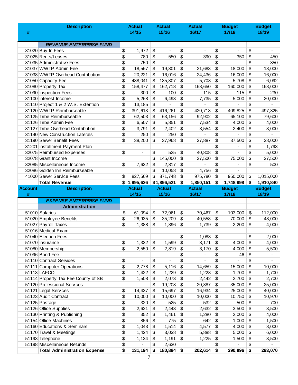|                | <b>Description</b>                                       |          | <b>Actual</b>     |          | <b>Actual</b>     |          | <b>Actual</b>   |          | <b>Budget</b>            |            | <b>Budget</b>   |
|----------------|----------------------------------------------------------|----------|-------------------|----------|-------------------|----------|-----------------|----------|--------------------------|------------|-----------------|
| #              |                                                          |          | 14/15             |          | 15/16             |          | 16/17           |          | 17/18                    |            | 18/19           |
|                |                                                          |          |                   |          |                   |          |                 |          |                          |            |                 |
|                | <b>REVENUE ENTERPRISE FUND</b>                           |          |                   |          |                   |          |                 |          |                          |            |                 |
|                | 31020 Buy In Fees                                        | \$       | 1,972             | \$       | $\blacksquare$    | \$       | $\blacksquare$  | \$       | $\overline{\phantom{a}}$ | \$         | $\blacksquare$  |
|                | 31025 Rents/Leases                                       | \$       | 780               | \$       | 550               | \$       | 390             | \$       | 350                      | \$         | 450             |
|                | 31035 Administrative Fees                                | \$       | 750               | \$       |                   | \$       |                 | \$       |                          | \$         | 350             |
|                | 31037 WWTP Admin Fee<br>31038 WWTP Overhead Contribution | \$<br>\$ | 18,567            | \$       | 19,301            | \$       | 21,683          | \$       | 18,000<br>16,000         | \$         | 18,000          |
|                | 31050 Capacity Fee                                       | \$       | 20,221<br>438,041 | \$<br>\$ | 16,016<br>135,307 | \$<br>\$ | 24,436<br>5,708 | \$<br>\$ | 5,708                    | \$<br>\$   | 16,000<br>6,092 |
|                | 31080 Property Tax                                       | \$       | 158,477           | \$       | 162,718           | \$       | 168,650         | \$       | 160,000                  | \$         | 168,000         |
|                | 31090 Inspection Fees                                    | \$       | 300               | \$       | 100               | \$       | 115             | \$       | 115                      | \$         | 230             |
|                | 31100 Interest Income                                    | \$       | 5,268             | \$       | 6,493             | \$       | 7,735           | \$       | 5,000                    | \$         | 20,000          |
|                | 31110 Project 1 & 2 W.S. Extention                       | \$       | 13,185            | \$       | $\overline{a}$    | \$       |                 | \$       | $\overline{a}$           | \$         |                 |
|                | 31120 WWTP Reimburseable                                 | \$       | 391,613           | \$       | 416,261           | \$       | 420,713         | \$       | 409,825                  | \$         | 497,325         |
|                | 31125 Tribe Reimburseable                                | \$       | 62,503            | \$       | 63,156            | \$       | 92,902          | \$       | 65,100                   | \$         | 79,600          |
|                | 31126 Tribe Admin Fee                                    | \$       | 6,507             | \$       | 5,851             | \$       | 7,534           | \$       | 4,000                    | \$         | 4,000           |
|                | 31127 Tribe Overhead Contribution                        | \$       | 3,791             | \$       | 2,402             | \$       | 3,554           | \$       | 2,400                    | \$         | 3,000           |
|                | 31140 New Construction Laterals                          | \$       | 250               | \$       | 250               | \$       |                 | \$       |                          | \$         |                 |
|                | 31190 Sewer Benefit Fees                                 | \$       | 38,200            | \$       | 37,968            | \$       | 37,887          | \$       | 37,500                   | \$         | 38,000          |
|                | 31201 Installment Payment Plan                           |          |                   |          |                   |          |                 | \$       | $\overline{\phantom{0}}$ | \$         | 1,793           |
|                | 32075 Reimbursed Expenses                                | \$       | $\blacksquare$    | \$       | 525               | \$       | 40,808          | \$       | $\overline{a}$           | \$         | 5,000           |
|                | 32078 Grant Income                                       |          |                   | \$       | 145,000           | \$       | 37,500          | \$       | 75,000                   | \$         | 37,500          |
|                | 32085 Miscellaneous Income                               | \$       | 7,632             | \$       | 2,817             | \$       |                 | \$       | $\overline{a}$           | \$         | 500             |
|                | 32086 Golden Inn Reimburseable                           |          |                   | \$       | 10,058            | \$       | 4,756           | \$       | $\overline{\phantom{0}}$ |            |                 |
|                | 41000 Sewer Service Fees                                 | \$       | 827,569           | \$       | 871,748           | \$       | 975,780         | \$       | 950,000                  | \$         | 1,015,000       |
|                | <b>Total Revenue</b>                                     |          | \$1,995,626       |          | \$1,896,521       | \$       | 1,850,151       | \$       | 1,748,998                | $\vert$ \$ | 1,910,840       |
| <b>Account</b> | <b>Description</b>                                       |          | <b>Actual</b>     |          |                   |          |                 |          | <b>Budget</b>            |            | <b>Budget</b>   |
|                |                                                          |          |                   |          | <b>Actual</b>     |          | <b>Actual</b>   |          |                          |            |                 |
| #              |                                                          |          | 14/15             |          | 15/16             |          | 16/17           |          | 17/18                    |            | 18/19           |
|                | <b>EXPENSE ENTERPRISE FUND</b>                           |          |                   |          |                   |          |                 |          |                          |            |                 |
|                | <b>Administration</b>                                    |          |                   |          |                   |          |                 |          |                          |            |                 |
|                | 51010 Salaries                                           | \$       | 61,094            | \$       | 72,961            | \$       | 70,467          | \$       | 103,000                  | \$         | 112,000         |
|                | 51020 Employee Benefits                                  | \$       | 26,935            | \$       | 35,209            | \$       | 40,558          | \$       | 70,000                   | \$         | 48,000          |
|                | 51027 Payroll Taxes                                      | \$       | 1,388             | \$       | 1,396             | \$       | 1,739           | \$       | 2,200                    | \$         | 4,000           |
|                | 51016 Medical Exam                                       |          |                   |          |                   |          |                 |          |                          |            |                 |
|                | 51040 Election Fees                                      |          |                   |          |                   | \$       | 1,083           | \$       | $\overline{\phantom{0}}$ | \$         | 2,000           |
|                | 51070 Insurance                                          | \$       | 1,332             | \$       | 1,599             | \$       | 3,171           | \$       | 4,000                    | \$         | 4,000           |
|                | 51080 Membership                                         | \$       | 2,550             | \$       | 2,819             | \$       | 3,170           | \$       | 4,000                    | \$         | 5,500           |
|                | 51096 Bond Fee                                           |          |                   |          |                   | \$       |                 | \$       | 46                       | \$         |                 |
|                | 51110 Contract Services                                  | \$       | ä,                | \$       |                   | \$       | $\overline{a}$  | \$       | $\overline{\phantom{0}}$ | \$         | $\blacksquare$  |
|                | 51111 Computer Operations                                | \$       | 2,778             | \$       | 5,116             | \$       | 14,659          | \$       | 15,000                   | \$         | 10,000          |
|                | 51113 LAFCO                                              | \$       | 1,422             | \$       | 1,229             | \$       | 1,228           | \$       | 1,700                    | \$         | 1,700           |
|                | 51114 Property Tax Fee County of SB                      | \$       | 1,508             | \$       | 2,073             | \$       | 2,442           | \$       | 2,700                    | \$         | 2,700           |
|                | 51120 Professional Services                              |          |                   | \$       | 19,208            | \$       | 20,387          | \$       | 35,000                   | \$         | 25,000          |
|                | 51121 Legal Services                                     | \$       | 14,437            | \$       | 15,697            | \$       | 16,934          | \$       | 25,000                   | \$         | 40,000          |
|                | 51123 Audit Contract                                     | \$       | 10,000            | \$       | 10,000            | \$       | 10,000          | \$       | 10,750                   | \$         | 10,970          |
|                | 51125 Postage                                            | \$       | 320               | \$       | 525               | \$       | 532             | \$       | 500                      | \$         | 700             |
|                | 51126 Office Supplies                                    | \$       | 2,621             | \$       | 2,443             | \$       | 2,632           | \$       | 3,500                    | \$         | 3,500           |
|                | 51130 Printing & Publishing<br>51154 Office Machines     | \$       | 352<br>856        | \$<br>\$ | 1,461<br>775      | \$<br>\$ | 1,280<br>642    | \$<br>\$ | 2,000                    | \$         | 4,000           |
|                | 51160 Educations & Seminars                              | \$<br>\$ |                   | \$       |                   | \$       |                 | \$       | 1,000                    | \$<br>\$   | 1,500           |
|                | 51170 Travel & Meetings                                  | \$       | 1,043             | \$       | 1,514             | \$       | 4,577           | \$       | 4,000                    | \$         | 8,000           |
|                | 51193 Telephone                                          | \$       | 1,424<br>1,134    | \$       | 3,038<br>1,191    | \$       | 5,888<br>1,225  | \$       | 5,000<br>1,500           | \$         | 6,000           |
|                | 51198 Miscellaneous Refunds                              | \$       |                   | \$       | 2,630             |          |                 | \$       |                          | \$         | 3,500           |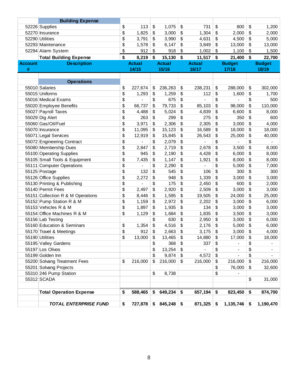|                | <b>Building Expense</b>           |               |               |                         |                |                      |                 |
|----------------|-----------------------------------|---------------|---------------|-------------------------|----------------|----------------------|-----------------|
|                | 52226 Supplies                    | \$<br>113     | \$<br>1,075   | \$                      | 731            | \$<br>800            | \$<br>1,200     |
|                | 52270 Insurance                   | \$<br>1,825   | \$<br>3,000   | \$                      | 1,304          | \$<br>2,000          | \$<br>2,000     |
|                | 52290 Utilities                   | \$<br>3,791   | \$<br>3,990   | \$                      | 4,631          | \$<br>4,500          | \$<br>5,000     |
|                | 52293 Maintenance                 | \$<br>1,578   | \$<br>6,147   | \$                      | 3,849          | \$<br>13,000         | \$<br>13,000    |
|                | 52294 Alarm System                | \$<br>912     | \$<br>918     | \$                      | 1,002          | \$<br>1,100          | \$<br>1,500     |
|                | <b>Total Building Expense</b>     | \$<br>8,219   | \$<br>15,130  | \$                      | $11,517$ \$    | $21,400$ \$          | 22,700          |
| <b>Account</b> | <b>Description</b>                | <b>Actual</b> | <b>Actual</b> |                         | <b>Actual</b>  | <b>Budget</b>        | <b>Budget</b>   |
| #              |                                   | 14/15         | 15/16         |                         | 16/17          | 17/18                | 18/19           |
|                |                                   |               |               |                         |                |                      |                 |
|                | <b>Operations</b>                 |               |               |                         |                |                      |                 |
|                | 55010 Salaries                    | \$<br>227,674 | \$<br>236,263 | \$                      | 238,231        | \$<br>288,000        | \$<br>302,000   |
|                | 55015 Uniforms                    | \$<br>1,293   | \$<br>1,259   | \$                      | 112            | \$<br>1,600          | \$<br>1,700     |
|                | 55016 Medical Exams               | \$            | \$<br>675     | \$                      | $\overline{a}$ | \$<br>$\overline{a}$ | \$<br>500       |
|                | 55020 Employee Benefits           | \$<br>66,737  | \$<br>79,733  | \$                      | 85,103         | \$<br>98,000         | \$<br>110,000   |
|                | 55027 Payroll Taxes               | \$<br>4,488   | \$<br>5,024   | \$                      | 4,839          | \$<br>6,600          | \$<br>8,000     |
|                | 55029 Dig Alert                   | \$<br>263     | \$<br>299     | \$                      | 275            | \$<br>350            | \$<br>600       |
|                | 55060 Gas/Oil/Fuel                | \$<br>3,971   | \$<br>2,306   | \$                      | 2,305          | \$<br>3,000          | \$<br>4,000     |
|                | 55070 Insurance                   | \$<br>11,095  | \$<br>15,123  | \$                      | 16,589         | \$<br>18,000         | \$<br>18,000    |
|                | 55071 Legal Services              | \$<br>12,919  | \$<br>15,845  | \$                      | 26,543         | \$<br>25,000         | \$<br>40,000    |
|                | 55072 Engineering Contract        | \$            | \$<br>2,079   | \$                      |                | \$                   | \$              |
|                | 55080 Membership Dues             | \$<br>2,847   | \$<br>2,719   | \$                      | 2,678          | \$<br>3,500          | \$<br>8,000     |
|                | 55100 Operating Supplies          | \$<br>945     | \$<br>2,190   | \$                      | 4,428          | \$<br>6,000          | \$<br>8,000     |
|                | 55105 Small Tools & Equipment     | \$<br>7,435   | \$<br>1,147   | \$                      | 1,921          | \$<br>8,000          | \$<br>8,000     |
|                | 55111 Computer Operations         | \$            | \$<br>2,290   | \$                      |                | \$<br>5,000          | \$<br>7,000     |
|                | 55125 Postage                     | \$<br>132     | \$<br>545     | \$                      | 106            | \$<br>300            | \$<br>300       |
|                | 55126 Office Supplies             | \$<br>2,272   | \$<br>948     | \$                      | 1,339          | \$<br>3,000          | \$<br>3,000     |
|                | 55130 Printing & Publishing       | \$            | \$<br>175     | \$                      | 2,450          | \$<br>600            | \$<br>2,000     |
|                | 55140 Permit Fees                 | \$<br>2,497   | \$<br>2,920   | \$                      | 2,509          | \$<br>3,000          | \$<br>3,000     |
|                | 55151 Collection R & M Operations | \$<br>8,446   | \$<br>1,595   | \$                      | 19,505         | \$<br>24,000         | \$<br>25,000    |
|                | 55152 Pump Station R & M          | \$<br>1,159   | \$<br>2,972   | \$                      | 2,202          | \$<br>3,000          | \$<br>6,000     |
|                | 55153 Vehicles R & M              | \$<br>1,897   | \$<br>1,935   | \$                      | 134            | \$<br>3,000          | \$<br>3,000     |
|                | 55154 Office Machines R & M       | \$<br>1,129   | \$<br>1,684   | \$                      | 1,835          | \$<br>3,500          | \$<br>3,000     |
|                | 55156 Lab Testing                 |               | \$<br>630     | \$                      | 2,950          | \$<br>3,000          | \$<br>6,000     |
|                | 55160 Education & Seminars        | \$<br>1,354   | \$<br>4,516   | \$                      | 2,176          | \$<br>5,000          | \$<br>6,000     |
|                | 55170 Travel & Meetings           | \$<br>912     | \$<br>2,663   | \$                      | 3,175          | \$<br>3,000          | \$<br>4,000     |
|                | 55190 Utilities                   | \$<br>13,000  | \$<br>13,465  | $\boldsymbol{\theta}$   | 14,880         | \$<br>17,000         | \$<br>18,000    |
|                | 55195 Valley Gardens              |               | \$<br>368     | \$                      | 337            | \$                   | \$              |
|                | 55197 Los Olivos                  |               | \$<br>13,254  | \$                      |                | \$<br>$\overline{a}$ | \$              |
|                | 55199 Golden Inn                  |               | \$<br>9,874   | \$                      | 4,572          | \$                   | \$              |
|                | 55200 Solvang Treatment Fees      | \$<br>216,000 | \$<br>216,000 | $\sqrt[6]{\frac{1}{2}}$ | 216,000        | \$<br>216,000        | \$<br>216,000   |
|                | 55201 Solvang Projects            |               |               |                         |                | \$<br>76,000         | \$<br>32,600    |
|                | 55310 246 Pump Station            |               | \$<br>8,738   |                         |                | \$                   |                 |
|                | 55312 SCADA                       |               |               |                         |                |                      | \$<br>31,000    |
|                | <b>Total Operation Expense</b>    | \$<br>588,465 | \$<br>649,234 | \$                      | 657,194        | \$<br>823,450        | \$<br>874,700   |
|                |                                   |               |               |                         |                |                      |                 |
|                | <b>TOTAL ENTERPRISE FUND</b>      | \$<br>727,878 | \$<br>845,248 | \$                      | 871,325        | \$<br>1,135,746      | \$<br>1,190,470 |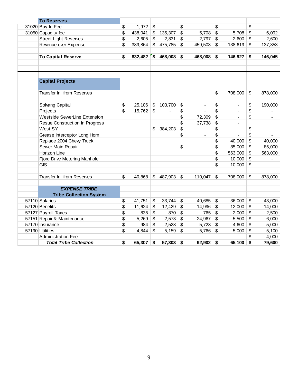| <b>To Reserves</b>                  |               |                           |                   |                           |                          |                           |                          |                           |         |
|-------------------------------------|---------------|---------------------------|-------------------|---------------------------|--------------------------|---------------------------|--------------------------|---------------------------|---------|
| 31020 Buy-In Fee                    | \$<br>1,972   | $\frac{1}{2}$             |                   | \$                        |                          | \$                        |                          | \$                        |         |
| 31050 Capacity fee                  | \$<br>438,041 | \$                        | 135,307           | \$                        | 5,708                    | \$                        | 5,708                    | \$                        | 6,092   |
| <b>Street Light Reserves</b>        | \$<br>2,605   | $\sqrt[6]{\frac{1}{2}}$   | 2,831             | \$                        | 2,797                    | \$                        | 2,600                    | \$                        | 2,600   |
| Revenue over Expense                | \$<br>389,864 | $\mathfrak{L}$            | 475,785           | $\mathfrak{s}$            | 459,503                  | $\mathsf{\$}$             | 138,619                  | \$                        | 137,353 |
| <b>To Capital Reserve</b>           | \$            |                           | 832,482 \$468,008 | \$                        | 468,008                  | \$                        | 146,927                  | \$                        | 146,045 |
| <b>Capital Projects</b>             |               |                           |                   |                           |                          |                           |                          |                           |         |
| Transfer In from Reserves           |               |                           |                   |                           |                          | \$                        | 708,000                  | \$                        | 878,000 |
| Solvang Capital                     | \$<br>25,106  | $\boldsymbol{\mathsf{S}}$ | 103,700           | \$                        | $\overline{\phantom{a}}$ | \$                        | $\overline{\phantom{a}}$ | \$                        | 190,000 |
| Projects                            | \$<br>15,762  | $\sqrt[6]{\frac{1}{2}}$   | $\frac{1}{2}$     | \$                        | $\blacksquare$           | \$                        | $\blacksquare$           | \$                        |         |
| <b>Westside SewerLine Extension</b> |               |                           |                   | \$                        | 72,309                   | \$                        | $\overline{\phantom{a}}$ | \$                        |         |
| Resue Construction In Progress      |               |                           |                   | \$                        | 37,738                   | \$                        |                          |                           |         |
| West SY                             |               | \$                        | 384,203           | \$                        |                          | \$                        | ÷,                       | \$                        |         |
| Grease Interceptor Long Horn        |               |                           |                   | \$                        | $\overline{a}$           | \$                        |                          | \$                        |         |
| Replace 2004 Chevy Truck            |               |                           |                   |                           |                          | \$                        | 40,000                   | \$                        | 40,000  |
| Sewer Main Repair                   |               |                           |                   | \$                        | $\overline{a}$           | \$                        | 85,000                   | \$                        | 85,000  |
| Horizon Line                        |               |                           |                   |                           |                          | \$                        | 563,000                  | \$                        | 563,000 |
| Fjord Drive Metering Manhole        |               |                           |                   |                           |                          | \$                        | 10,000                   | \$                        |         |
| <b>GIS</b>                          |               |                           |                   |                           |                          | \$                        | 10,000                   | \$                        |         |
| Transfer In from Reserves           | \$<br>40,868  | $\mathfrak{P}$            | 487,903           | $\boldsymbol{\mathsf{S}}$ | 110,047                  | \$                        | 708,000                  | $\boldsymbol{\mathsf{S}}$ | 878,000 |
| <b>EXPENSE TRIBE</b>                |               |                           |                   |                           |                          |                           |                          |                           |         |
| <b>Tribe Collection System</b>      |               |                           |                   |                           |                          |                           |                          |                           |         |
| 57110 Salaries                      | \$<br>41,751  | \$                        | 33,744            | \$                        | 40,685                   | \$                        | 36,000                   | \$                        | 43,000  |
| 57120 Benefits                      | \$<br>11,624  | \$                        | 12,429            | \$                        | 14,996                   | \$                        | 12,000                   | \$                        | 14,000  |
| 57127 Payroll Taxes                 | \$<br>835     | \$                        | 870               | \$                        | 765                      | \$                        | 2,000                    | \$                        | 2,500   |
| 57151 Repair & Maintenance          | \$<br>5,269   | \$                        | 2,573             | \$                        | 24,967                   | \$                        | 5,500                    | \$                        | 6,000   |
| 57170 Insurance                     | \$<br>984     | \$                        | 2,528             | \$                        | 5,723                    | $\boldsymbol{\mathsf{S}}$ | 4,600                    | \$                        | 5,000   |
| 57190 Utilities                     | \$<br>4,844   | \$                        | 5,159             | \$                        | 5,766                    | \$                        | 5,000                    | \$                        | 5,100   |
| <b>Administration Fee</b>           |               |                           |                   |                           |                          |                           |                          | \$                        | 4,000   |
| <b>Total Tribe Collection</b>       | \$<br>65,307  | \$                        | 57,303            | \$                        | 92,902                   | \$                        | 65,100                   | \$                        | 79,600  |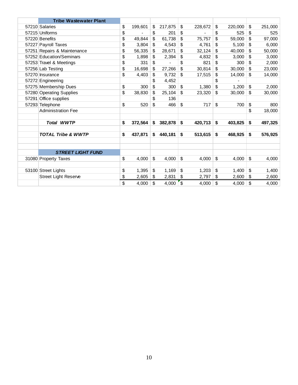| <b>Tribe Wastewater Plant</b> |               |               |                          |         |                         |         |               |         |
|-------------------------------|---------------|---------------|--------------------------|---------|-------------------------|---------|---------------|---------|
| 57210 Salaries                | \$<br>199,601 | \$<br>217,875 | \$                       | 228,672 | \$                      | 220,000 | \$            | 251,000 |
| 57215 Uniforms                | \$            | \$<br>201     | \$                       |         | \$                      | 525     | \$            | 525     |
| 57220 Benefits                | \$<br>49,844  | \$<br>61,738  | \$                       | 75,757  | \$                      | 59,000  | \$            | 97,000  |
| 57227 Payroll Taxes           | \$<br>3,804   | \$<br>4,543   | \$                       | 4,761   | \$                      | 5,100   | \$            | 6.000   |
| 57251 Repairs & Maintenance   | \$<br>56,335  | \$<br>28,671  | \$                       | 32,124  | \$                      | 40,000  | \$            | 50,000  |
| 57252 Education/Seminars      | \$<br>1,898   | \$<br>2,394   | \$                       | 4,832   | \$                      | 3.000   | \$            | 3,000   |
| 57253 Travel & Meetings       | \$<br>331     | \$            | \$                       | 821     | \$                      | 300     | \$            | 2,000   |
| 57256 Lab Testing             | \$<br>16,698  | \$<br>27,266  | \$                       | 30,814  | \$                      | 30,000  | \$            | 23,000  |
| 57270 Insurance               | \$<br>4,403   | \$<br>9,732   | \$                       | 17,515  | \$                      | 14,000  | \$            | 14,000  |
| 57272 Engineering             |               | \$<br>4,452   |                          |         | \$                      |         |               |         |
| 57275 Membership Dues         | \$<br>300     | \$<br>300     | \$                       | 1,380   | \$                      | 1,200   | \$            | 2,000   |
| 57280 Operating Supplies      | \$<br>38,830  | \$<br>25,104  | \$                       | 23,320  | \$                      | 30,000  | \$            | 30,000  |
| 57291 Office supplies         |               | \$<br>136     |                          |         |                         |         |               |         |
| 57293 Telephone               | \$<br>520     | \$<br>466     | \$                       | 717     | \$                      | 700     | \$            | 800     |
| <b>Administration Fee</b>     |               |               |                          |         |                         |         | \$            | 18,000  |
|                               |               |               |                          |         |                         |         |               |         |
| <b>Total WWTP</b>             | \$<br>372,564 | \$<br>382,878 | \$                       | 420,713 | \$                      | 403,825 | \$            | 497,325 |
|                               |               |               |                          |         |                         |         |               |         |
| <b>TOTAL Tribe &amp; WWTP</b> | \$<br>437,871 | \$<br>440,181 | \$                       | 513,615 | \$                      | 468,925 | \$            | 576,925 |
|                               |               |               |                          |         |                         |         |               |         |
| <b>STREET LIGHT FUND</b>      |               |               |                          |         |                         |         |               |         |
| 31080 Property Taxes          | \$<br>4,000   | \$<br>4,000   | \$                       | 4,000   | $\mathfrak{S}$          | 4,000   | $\mathsf{\$}$ | 4,000   |
|                               |               |               |                          |         |                         |         |               |         |
| 53100 Street Lights           | \$<br>1,395   | \$<br>1,169   | \$                       | 1,203   | \$                      | 1,400   | \$            | 1,400   |
| <b>Street Light Reserve</b>   | \$<br>2,605   | \$<br>2,831   | \$                       | 2,797   | $\sqrt[6]{\frac{1}{2}}$ | 2,600   | \$            | 2,600   |
|                               | \$<br>4,000   | \$<br>4,000   | $\overline{\mathcal{S}}$ | 4,000   | \$                      | 4,000   | \$            | 4,000   |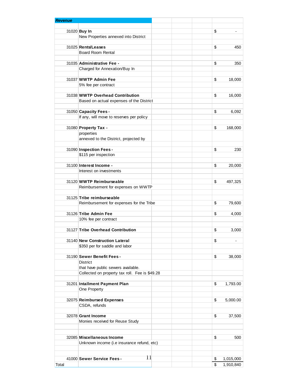| <b>Revenue</b> |                                                    |                                |
|----------------|----------------------------------------------------|--------------------------------|
|                |                                                    |                                |
|                | 31020 Buy In                                       | \$<br>$\overline{a}$           |
|                | New Properties annexed into District               |                                |
|                | 31025 Rents/Leases                                 | 450                            |
|                | <b>Board Room Rental</b>                           | \$                             |
|                |                                                    |                                |
|                | 31035 Administrative Fee -                         | \$<br>350                      |
|                | Charged for Annexation/Buy In                      |                                |
|                |                                                    |                                |
|                | 31037 WWTP Admin Fee                               | \$<br>18,000                   |
|                | 5% fee per contract                                |                                |
|                |                                                    |                                |
|                | 31038 WWTP Overhead Contribution                   | \$<br>16,000                   |
|                | Based on actual expenses of the District           |                                |
|                | 31050 Capacity Fees -                              | \$<br>6,092                    |
|                | If any, will move to reserves per policy           |                                |
|                |                                                    |                                |
|                | 31080 Property Tax -                               | \$<br>168,000                  |
|                | properties                                         |                                |
|                | annexed to the District, projected by              |                                |
|                |                                                    |                                |
|                | 31090 Inspection Fees -                            | \$<br>230                      |
|                | \$115 per inspection                               |                                |
|                |                                                    |                                |
|                | 31100 Interest Income -<br>Interest on investments | \$<br>20,000                   |
|                |                                                    |                                |
|                | 31120 WWTP Reimburseable                           | \$<br>497,325                  |
|                | Reimbursement for expenses on WWTP                 |                                |
|                |                                                    |                                |
|                | 31125 Tribe reimburseable                          |                                |
|                | Reimbursement for expenses for the Tribe           | \$<br>79,600                   |
|                |                                                    |                                |
|                | 31126 Tribe Admin Fee                              | \$<br>4,000                    |
|                | 10% fee per contract                               |                                |
|                | 31127 Tribe Overhead Contribution                  | \$<br>3,000                    |
|                |                                                    |                                |
|                | 31140 New Construction Lateral                     | \$<br>$\overline{\phantom{a}}$ |
|                | \$350 per for saddle and labor                     |                                |
|                |                                                    |                                |
|                | 31190 Sewer Benefit Fees -                         | \$<br>38,000                   |
|                | <b>District</b>                                    |                                |
|                | that have public sewers available.                 |                                |
|                | Collected on property tax roll. Fee is \$49.28     |                                |
|                | 31201 Intallment Payment Plan                      | \$<br>1,793.00                 |
|                | One Property                                       |                                |
|                |                                                    |                                |
|                | 32075 Reimbursed Expenses                          | \$<br>5,000.00                 |
|                | CSDA, refunds                                      |                                |
|                |                                                    |                                |
|                | 32078 Grant Income                                 | \$<br>37,500                   |
|                | Monies received for Reuse Study                    |                                |
|                |                                                    |                                |
|                |                                                    |                                |
|                | 32085 Miscellaneous Income                         | \$<br>500                      |
|                | Unknown income (i.e insurance refund, etc)         |                                |
|                |                                                    |                                |
|                | Ħ<br>41000 Sewer Service Fees -                    | \$<br>1,015,000                |
| Total          |                                                    | \$<br>1,910,840                |
|                |                                                    |                                |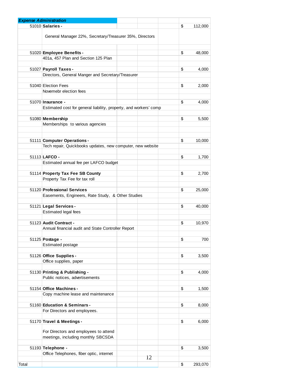|       | <b>Expense Administration</b>                                                                 |    |               |
|-------|-----------------------------------------------------------------------------------------------|----|---------------|
|       | 51010 Salaries -                                                                              |    | \$<br>112,000 |
|       | General Manager 22%, Secretary/Treasurer 35%, Directors                                       |    |               |
|       |                                                                                               |    |               |
|       | 51020 Employee Benefits -                                                                     |    | \$<br>48,000  |
|       | 401a, 457 Plan and Section 125 Plan                                                           |    |               |
|       | 51027 Payroll Taxes -                                                                         |    | \$<br>4,000   |
|       | Directors, General Manger and Secretary/Treasurer                                             |    |               |
|       |                                                                                               |    |               |
|       | 51040 Election Fees                                                                           |    | \$<br>2,000   |
|       | Novemebr election fees                                                                        |    |               |
|       |                                                                                               |    |               |
|       | 51070 <b>Insurance -</b><br>Estimated cost for general liability, property, and workers' comp |    | \$<br>4,000   |
|       |                                                                                               |    |               |
|       | 51080 Membership                                                                              |    | \$<br>5,500   |
|       | Memberships to various agencies                                                               |    |               |
|       |                                                                                               |    |               |
|       |                                                                                               |    |               |
|       | 51111 Computer Operations -                                                                   |    | \$<br>10,000  |
|       | Tech repair, Quickbooks updates, new computer, new website                                    |    |               |
|       | 51113 LAFCO -                                                                                 |    | \$<br>1,700   |
|       | Estimated annual fee per LAFCO budget                                                         |    |               |
|       |                                                                                               |    |               |
|       | 51114 Property Tax Fee SB County                                                              |    | \$<br>2,700   |
|       | Property Tax Fee for tax roll                                                                 |    |               |
|       |                                                                                               |    |               |
|       | 51120 Professional Services                                                                   |    | \$<br>25,000  |
|       | Easements, Engineers, Rate Study, & Other Studies                                             |    |               |
|       | 51121 Legal Services -                                                                        |    | \$<br>40,000  |
|       | <b>Estimated legal fees</b>                                                                   |    |               |
|       |                                                                                               |    |               |
|       | 51123 Audit Contract -                                                                        |    | \$<br>10,970  |
|       | Annual financial audit and State Controller Report                                            |    |               |
|       |                                                                                               |    |               |
|       | 51125 Postage -<br>Estimated postage                                                          |    | \$<br>700     |
|       |                                                                                               |    |               |
|       | 51126 Office Supplies -                                                                       |    | \$<br>3,500   |
|       | Office supplies, paper                                                                        |    |               |
|       |                                                                                               |    |               |
|       | 51130 Printing & Publishing -                                                                 |    | \$<br>4,000   |
|       | Public notices, advertisements                                                                |    |               |
|       | 51154 Office Machines -                                                                       |    | \$<br>1,500   |
|       | Copy machine lease and maintenance                                                            |    |               |
|       |                                                                                               |    |               |
|       | 51160 Education & Seminars -                                                                  |    | \$<br>8,000   |
|       | For Directors and employees.                                                                  |    |               |
|       |                                                                                               |    |               |
|       | 51170 Travel & Meetings -                                                                     |    | \$<br>6,000   |
|       | For Directors and employees to attend                                                         |    |               |
|       | meetings, including monthly SBCSDA                                                            |    |               |
|       |                                                                                               |    |               |
|       | 51193 Telephone -                                                                             |    | \$<br>3,500   |
|       | Office Telephones, fiber optic, internet                                                      |    |               |
|       |                                                                                               | 12 |               |
| Total |                                                                                               |    | \$<br>293,070 |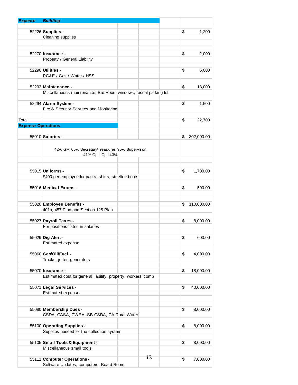| <b>Expense</b>            | <b>Building</b>                                                        |    |                  |
|---------------------------|------------------------------------------------------------------------|----|------------------|
|                           |                                                                        |    |                  |
|                           | 52226 Supplies -                                                       |    | \$<br>1,200      |
|                           | Cleaning supplies                                                      |    |                  |
|                           |                                                                        |    |                  |
|                           |                                                                        |    |                  |
|                           | 52270 Insurance -                                                      |    | \$<br>2,000      |
|                           | Property / General Liability                                           |    |                  |
|                           |                                                                        |    |                  |
|                           | 52290 Utilities -                                                      |    | \$<br>5,000      |
|                           | PG&E / Gas / Water / HSS                                               |    |                  |
|                           |                                                                        |    |                  |
|                           | 52293 Maintenance -                                                    |    | \$<br>13,000     |
|                           | Miscellaneous maintenance, Brd Room windows, reseal parking lot        |    |                  |
|                           |                                                                        |    | \$               |
|                           | 52294 Alarm System -<br>Fire & Security Services and Monitoring        |    | 1,500            |
|                           |                                                                        |    |                  |
| Total                     |                                                                        |    | \$<br>22,700     |
| <b>Expense Operations</b> |                                                                        |    |                  |
|                           |                                                                        |    |                  |
|                           | 55010 Salaries -                                                       |    | \$<br>302,000.00 |
|                           |                                                                        |    |                  |
|                           | 42% GM, 65% Secretary/Treasurer, 95% Supervisor,<br>41% Op I, Op I 43% |    |                  |
|                           |                                                                        |    |                  |
|                           | 55015 Uniforms -                                                       |    | \$<br>1,700.00   |
|                           | \$400 per employee for pants, shirts, steeltoe boots                   |    |                  |
|                           |                                                                        |    |                  |
|                           | 55016 Medical Exams -                                                  |    | \$<br>500.00     |
|                           |                                                                        |    |                  |
|                           |                                                                        |    |                  |
|                           | 55020 Employee Benefits -                                              |    | \$<br>110,000.00 |
|                           | 401a, 457 Plan and Section 125 Plan                                    |    |                  |
|                           |                                                                        |    |                  |
|                           | 55027 Payroll Taxes -                                                  |    | \$<br>8,000.00   |
|                           | For positions listed in salaries                                       |    |                  |
|                           |                                                                        |    |                  |
|                           | 55029 Dig Alert -                                                      |    | \$<br>600.00     |
|                           | Estimated expense                                                      |    |                  |
|                           | 55060 Gas/Oil/Fuel -                                                   |    |                  |
|                           | Trucks, jetter, generators                                             |    | \$<br>4,000.00   |
|                           |                                                                        |    |                  |
|                           | 55070 Insurance -                                                      |    | \$<br>18,000.00  |
|                           | Estimated cost for general liability, property, workers' comp          |    |                  |
|                           |                                                                        |    |                  |
|                           | 55071 Legal Services -                                                 |    | \$<br>40,000.00  |
|                           | Estimated expense                                                      |    |                  |
|                           |                                                                        |    |                  |
|                           |                                                                        |    |                  |
|                           | 55080 Membership Dues -                                                |    | \$<br>8,000.00   |
|                           | CSDA, CASA, CWEA, SB-CSDA, CA Rural Water                              |    |                  |
|                           |                                                                        |    |                  |
|                           | 55100 Operating Supplies -                                             |    | \$<br>8,000.00   |
|                           | Supplies needed for the collection system                              |    |                  |
|                           |                                                                        |    |                  |
|                           | 55105 Small Tools & Equipment -<br>Miscellaneous small tools           |    | \$<br>8,000.00   |
|                           |                                                                        |    |                  |
|                           | 55111 Computer Operations -                                            | 13 | \$<br>7,000.00   |
|                           | Software Updates, computers, Board Room                                |    |                  |
|                           |                                                                        |    |                  |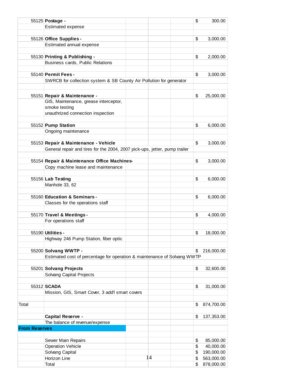|                      | 55125 Postage -                                                            |    | \$<br>300.00     |
|----------------------|----------------------------------------------------------------------------|----|------------------|
|                      | Estimated expense                                                          |    |                  |
|                      |                                                                            |    |                  |
|                      | 55126 Office Supplies -                                                    |    | \$<br>3,000.00   |
|                      | Estimated annual expense                                                   |    |                  |
|                      |                                                                            |    |                  |
|                      | 55130 Printing & Publishing -                                              |    | \$<br>2,000.00   |
|                      | Business cards, Public Relations                                           |    |                  |
|                      |                                                                            |    |                  |
|                      | 55140 Permit Fees -                                                        |    | \$<br>3,000.00   |
|                      | SWRCB for collection system & SB County Air Pollution for generator        |    |                  |
|                      |                                                                            |    |                  |
|                      | 55151 Repair & Maintenance -                                               |    | \$<br>25,000.00  |
|                      | GIS, Maintenance, grease interceptor,                                      |    |                  |
|                      | smoke testing                                                              |    |                  |
|                      | unauthrized connection inspection                                          |    |                  |
|                      |                                                                            |    |                  |
|                      | 55152 Pump Station                                                         |    | \$<br>6,000.00   |
|                      | Ongoing maintenance                                                        |    |                  |
|                      |                                                                            |    |                  |
|                      | 55153 Repair & Maintenance - Vehicle                                       |    | \$<br>3,000.00   |
|                      | General repair and tires for the 2004, 2007 pick-ups, jetter, pump trailer |    |                  |
|                      |                                                                            |    |                  |
|                      | 55154 Repair & Maintenance Office Machines-                                |    | \$<br>3,000.00   |
|                      | Copy machine lease and maintenance                                         |    |                  |
|                      |                                                                            |    |                  |
|                      | 55156 Lab Testing                                                          |    | \$<br>6,000.00   |
|                      | Manhole 33, 62                                                             |    |                  |
|                      |                                                                            |    |                  |
|                      | 55160 Education & Seminars -                                               |    | \$<br>6,000.00   |
|                      | Classes for the operations staff                                           |    |                  |
|                      |                                                                            |    |                  |
|                      | 55170 Travel & Meetings -                                                  |    | \$<br>4,000.00   |
|                      | For operations staff                                                       |    |                  |
|                      | $55190$ Utilities -                                                        |    |                  |
|                      |                                                                            |    | \$<br>18,000.00  |
|                      | Highway 246 Pump Station, fiber optic                                      |    |                  |
|                      | 55200 Solvang WWTP -                                                       |    | \$<br>216,000.00 |
|                      | Estimated cost of percentage for operation & maintenance of Solvang WWTP   |    |                  |
|                      |                                                                            |    |                  |
|                      | 55201 Solvang Projects                                                     |    | \$<br>32,600.00  |
|                      | Solvang Capital Projects                                                   |    |                  |
|                      |                                                                            |    |                  |
|                      | 55312 SCADA                                                                |    | \$<br>31,000.00  |
|                      | Mission, GIS, Smart Cover, 3 add'l smart covers                            |    |                  |
|                      |                                                                            |    |                  |
| Total                |                                                                            |    | \$<br>874,700.00 |
|                      |                                                                            |    |                  |
|                      | Capital Reserve -                                                          |    | \$<br>137,353.00 |
|                      | The balance of revenue/expense                                             |    |                  |
| <b>From Reserves</b> |                                                                            |    |                  |
|                      |                                                                            |    |                  |
|                      | Sewer Main Repairs                                                         |    | \$<br>85,000.00  |
|                      | <b>Operation Vehicle</b>                                                   |    | \$<br>40,000.00  |
|                      | Solvang Capital                                                            |    | \$<br>190,000.00 |
|                      | Horizon Line                                                               | 14 | \$<br>563,000.00 |
|                      | Total                                                                      |    | \$<br>878,000.00 |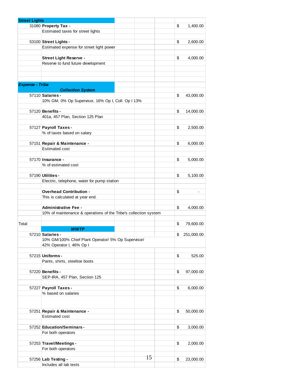| <b>Street Lights</b>   |                                                                  |    |                 |
|------------------------|------------------------------------------------------------------|----|-----------------|
|                        | 31080 Property Tax -                                             |    | \$<br>1,400.00  |
|                        | Estimated taxes for street lights                                |    |                 |
|                        |                                                                  |    |                 |
|                        | 53100 Street Lights -                                            |    | \$<br>2,600.00  |
|                        | Estimated expense for street light power                         |    |                 |
|                        |                                                                  |    |                 |
|                        | <b>Street Light Reserve -</b>                                    |    | \$<br>4,000.00  |
|                        | Reserve to fund future development                               |    |                 |
|                        |                                                                  |    |                 |
|                        |                                                                  |    |                 |
|                        |                                                                  |    |                 |
| <b>Expense - Tribe</b> |                                                                  |    |                 |
|                        | <b>Collection System</b>                                         |    |                 |
|                        | 57110 Salaries -                                                 |    | \$<br>43,000.00 |
|                        | 10% GM, 0% Op Supervisor, 16% Op I, Coll. Op I 13%               |    |                 |
|                        |                                                                  |    |                 |
|                        | 57120 Benefits -                                                 |    | \$<br>14,000.00 |
|                        | 401a, 457 Plan, Section 125 Plan                                 |    |                 |
|                        |                                                                  |    |                 |
|                        | 57127 Payroll Taxes -                                            |    | \$<br>2,500.00  |
|                        | % of taxes based on salary                                       |    |                 |
|                        |                                                                  |    |                 |
|                        | 57151 Repair & Maintenance -                                     |    | \$<br>6,000.00  |
|                        | <b>Estimated cost</b>                                            |    |                 |
|                        |                                                                  |    |                 |
|                        | 57170 <b>Insurance -</b>                                         |    | \$<br>5,000.00  |
|                        | % of estimated cost                                              |    |                 |
|                        |                                                                  |    |                 |
|                        | 57190 Utilities -                                                |    | \$<br>5,100.00  |
|                        | Electric, telephone, water for pump station                      |    |                 |
|                        |                                                                  |    |                 |
|                        | <b>Overhead Contribution -</b>                                   |    | \$              |
|                        | This is calculated at year end.                                  |    |                 |
|                        |                                                                  |    |                 |
|                        | <b>Administrative Fee -</b>                                      |    | \$<br>4,000.00  |
|                        | 10% of maintenance & operations of the Tribe's collection system |    |                 |
|                        |                                                                  |    |                 |
| Total                  |                                                                  |    | \$<br>79,600.00 |
|                        | <b>WWTP</b>                                                      |    |                 |
|                        | 57210 Salaries                                                   |    | \$ 251,000.00   |
|                        | 10% GM/100% Chief Plant Operator/ 5% Op Supervisor/              |    |                 |
|                        | 42% Operator I, 46% Op I                                         |    |                 |
|                        |                                                                  |    |                 |
|                        | 57215 Uniforms -                                                 |    | \$<br>525.00    |
|                        | Pants, shirts, steeltoe boots                                    |    |                 |
|                        |                                                                  |    |                 |
|                        | 57220 Benefits -                                                 |    | \$<br>97,000.00 |
|                        | SEP-IRA, 457 Plan, Section 125                                   |    |                 |
|                        | 57227 Payroll Taxes -                                            |    |                 |
|                        | % based on salaries                                              |    | \$<br>6,000.00  |
|                        |                                                                  |    |                 |
|                        |                                                                  |    |                 |
|                        |                                                                  |    |                 |
|                        | 57251 Repair & Maintenance -                                     |    | \$<br>50,000.00 |
|                        | <b>Estimated cost</b>                                            |    |                 |
|                        |                                                                  |    |                 |
|                        | 57252 Education/Seminars -                                       |    | \$<br>3,000.00  |
|                        | For both operators                                               |    |                 |
|                        |                                                                  |    |                 |
|                        | 57253 Travel/Meetings -                                          |    | \$<br>2,000.00  |
|                        | For both operators                                               |    |                 |
|                        |                                                                  | 15 |                 |
|                        | 57256 Lab Testing -                                              |    | \$<br>23,000.00 |
|                        | Includes all lab tests                                           |    |                 |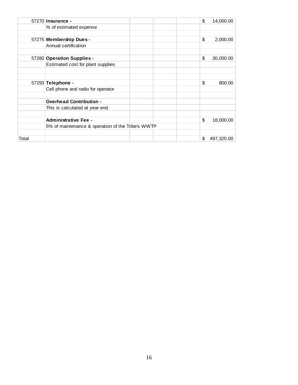|       | 57270 Insurance -                                 | \$<br>14,000.00  |
|-------|---------------------------------------------------|------------------|
|       | % of estimated expense                            |                  |
|       |                                                   |                  |
|       | 57275 Membership Dues -                           | \$<br>2,000.00   |
|       | Annual certification                              |                  |
|       |                                                   |                  |
|       | 57280 Operation Supplies -                        | \$<br>30,000.00  |
|       | Estimated cost for plant supplies                 |                  |
|       |                                                   |                  |
|       |                                                   |                  |
|       | 57293 Telephone -                                 | \$<br>800.00     |
|       | Cell phone and radio for operator                 |                  |
|       |                                                   |                  |
|       | <b>Overhead Contribution -</b>                    |                  |
|       | This is calculated at year end.                   |                  |
|       |                                                   |                  |
|       | <b>Administrative Fee -</b>                       | \$<br>18,000.00  |
|       | 5% of maintenance & operation of the Tribe's WWTP |                  |
|       |                                                   |                  |
| Total |                                                   | \$<br>497,325.00 |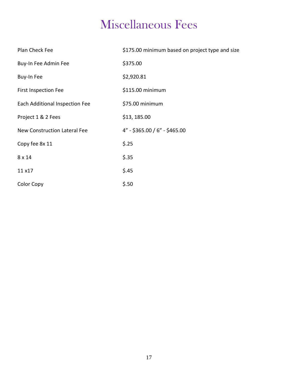## Miscellaneous Fees

| Plan Check Fee                      | \$175.00 minimum based on project type and size |
|-------------------------------------|-------------------------------------------------|
| Buy-In Fee Admin Fee                | \$375.00                                        |
| Buy-In Fee                          | \$2,920.81                                      |
| <b>First Inspection Fee</b>         | \$115.00 minimum                                |
| Each Additional Inspection Fee      | \$75.00 minimum                                 |
| Project 1 & 2 Fees                  | \$13, 185.00                                    |
| <b>New Construction Lateral Fee</b> | $4" - $365.00 / 6" - $465.00$                   |
| Copy fee 8x 11                      | \$.25                                           |
| 8 x 14                              | \$.35                                           |
| 11 x17                              | \$.45                                           |
| Color Copy                          | \$.50                                           |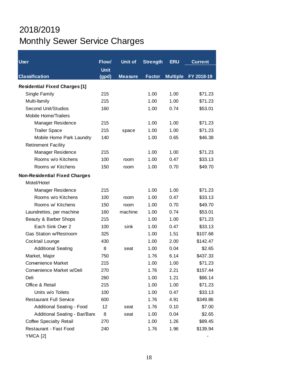### 2018/2019 Monthly Sewer Service Charges

| <b>User</b>                          | Flow/       | <b>Unit of</b> | <b>Strength</b> | <b>ERU</b>      | <b>Current</b> |  |  |
|--------------------------------------|-------------|----------------|-----------------|-----------------|----------------|--|--|
|                                      | <b>Unit</b> |                |                 |                 |                |  |  |
| <b>Classification</b>                | (gpd)       | <b>Measure</b> | <b>Factor</b>   | <b>Multiple</b> | FY 2018-19     |  |  |
| <b>Residential Fixed Charges [1]</b> |             |                |                 |                 |                |  |  |
| Single Family                        | 215         |                | 1.00            | 1.00            | \$71.23        |  |  |
| Multi-family                         | 215         |                | 1.00            | 1.00            | \$71.23        |  |  |
| <b>Second Unit/Studios</b>           | 160         |                | 1.00            | 0.74            | \$53.01        |  |  |
| <b>Mobile Home/Trailers</b>          |             |                |                 |                 |                |  |  |
| Manager Residence                    | 215         |                | 1.00            | 1.00            | \$71.23        |  |  |
| <b>Trailer Space</b>                 | 215         | space          | 1.00            | 1.00            | \$71.23        |  |  |
| Mobile Home Park Laundry             | 140         |                | 1.00            | 0.65            | \$46.38        |  |  |
| <b>Retirement Facility</b>           |             |                |                 |                 |                |  |  |
| Manager Residence                    | 215         |                | 1.00            | 1.00            | \$71.23        |  |  |
| Rooms w/o Kitchens                   | 100         | room           | 1.00            | 0.47            | \$33.13        |  |  |
| Rooms w/ Kitchens                    | 150         | room           | 1.00            | 0.70            | \$49.70        |  |  |
| <b>Non-Residential Fixed Charges</b> |             |                |                 |                 |                |  |  |
| Motel/Hotel                          |             |                |                 |                 |                |  |  |
| Manager Residence                    | 215         |                | 1.00            | 1.00            | \$71.23        |  |  |
| Rooms w/o Kitchens                   | 100         | room           | 1.00            | 0.47            | \$33.13        |  |  |
| Rooms w/ Kitchens                    | 150         | room           | 1.00            | 0.70            | \$49.70        |  |  |
| Laundrettes, per machine             | 160         | machine        | 1.00            | 0.74            | \$53.01        |  |  |
| Beauty & Barber Shops                | 215         |                | 1.00            | 1.00            | \$71.23        |  |  |
| Each Sink Over 2                     | 100         | sink           | 1.00            | 0.47            | \$33.13        |  |  |
| <b>Gas Station w/Restroom</b>        | 325         |                | 1.00            | 1.51            | \$107.68       |  |  |
| Cocktail Lounge                      | 430         |                | 1.00            | 2.00            | \$142.47       |  |  |
| <b>Additional Seating</b>            | 8           | seat           | 1.00            | 0.04            | \$2.65         |  |  |
| Market, Major                        | 750         |                | 1.76            | 6.14            | \$437.33       |  |  |
| <b>Convenience Market</b>            | 215         |                | 1.00            | 1.00            | \$71.23        |  |  |
| Convenience Market w/Deli            | 270         |                | 1.76            | 2.21            | \$157.44       |  |  |
| Deli                                 | 260         |                | 1.00            | 1.21            | \$86.14        |  |  |
| Office & Retail                      | 215         |                | 1.00            | 1.00            | \$71.23        |  |  |
| Units w/o Toilets                    | 100         |                | 1.00            | 0.47            | \$33.13        |  |  |
| <b>Restaurant Full Service</b>       | 600         |                | 1.76            | 4.91            | \$349.86       |  |  |
| <b>Additional Seating - Food</b>     | 12          | seat           | 1.76            | 0.10            | \$7.00         |  |  |
| Additional Seating - Bar/Band        | 8           | seat           | 1.00            | 0.04            | \$2.65         |  |  |
| <b>Coffee Specialty Retail</b>       | 270         |                | 1.00            | 1.26            | \$89.45        |  |  |
| Restaurant - Fast Food               | 240         |                | 1.76            | 1.96            | \$139.94       |  |  |
| YMCA [2]                             |             |                |                 |                 |                |  |  |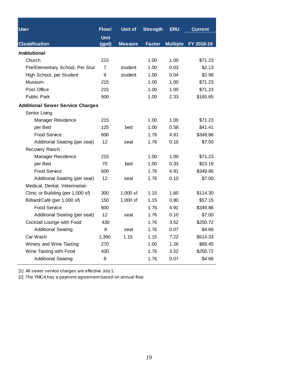| <b>User</b>                             | Flow/             | <b>Unit of</b> | <b>Strength</b> | <b>ERU</b>      | <b>Current</b> |
|-----------------------------------------|-------------------|----------------|-----------------|-----------------|----------------|
|                                         | <b>Unit</b>       |                |                 |                 |                |
| <b>Classification</b>                   | (gpd)             | <b>Measure</b> | <b>Factor</b>   | <b>Multiple</b> | FY 2018-19     |
| Institutional                           |                   |                |                 |                 |                |
| Church                                  | 215               |                | 1.00            | 1.00            | \$71.23        |
| Pre/Elementary School, Per Stuc         | $\overline{7}$    | student        | 1.00            | 0.03            | \$2.13         |
| High School, per Student                | 9                 | student        | 1.00            | 0.04            | \$2.98         |
| Museum                                  | 215               |                | 1.00            | 1.00            | \$71.23        |
| Post Office                             | 215               |                | 1.00            | 1.00            | \$71.23        |
| <b>Public Park</b>                      | 500               |                | 1.00            | 2.33            | \$165.65       |
| <b>Additional Sewer Service Charges</b> |                   |                |                 |                 |                |
| Senior Living                           |                   |                |                 |                 |                |
| Manager Residence                       | 215               |                | 1.00            | 1.00            | \$71.23        |
| per Bed                                 | 125               | bed            | 1.00            | 0.58            | \$41.41        |
| Food Service                            | 600               |                | 1.76            | 4.91            | \$349.86       |
| Additional Seating (per seat)           | 12                | seat           | 1.76            | 0.10            | \$7.00         |
| Recovery Ranch                          |                   |                |                 |                 |                |
| Manager Residence                       | 215               |                | 1.00            | 1.00            | \$71.23        |
| per Bed                                 | 70                | bed            | 1.00            | 0.33            | \$23.19        |
| <b>Food Service</b>                     | 600               |                | 1.76            | 4.91            | \$349.86       |
| Additional Seating (per seat)           | $12 \overline{ }$ | seat           | 1.76            | 0.10            | \$7.00         |
| Medical, Dental, Veterinarian           |                   |                |                 |                 |                |
| Clinic or Building (per 1,000 sf)       | 300               | $1,000$ sf     | 1.15            | 1.60            | \$114.30       |
| Billiard/Café (per 1,000 sf)            | 150               | $1,000$ sf     | 1.15            | 0.80            | \$57.15        |
| Food Service                            | 600               |                | 1.76            | 4.91            | \$349.86       |
| Additional Seating (per seat)           | $12 \overline{ }$ | seat           | 1.76            | 0.10            | \$7.00         |
| Cocktail Lounge with Food               | 430               |                | 1.76            | 3.52            | \$250.72       |
| <b>Additional Seating</b>               | 8                 | seat           | 1.76            | 0.07            | \$4.66         |
| Car Wash                                | 1,350             | 1.15           | 1.15            | 7.22            | \$514.33       |
| Winery and Wine Tasting                 | 270               |                | 1.00            | 1.26            | \$89.45        |
| Wine Tasting with Food                  | 430               |                | 1.76            | 3.52            | \$250.72       |
| <b>Additional Seating</b>               | 8                 |                | 1.76            | 0.07            | \$4.66         |

[1] All sewer service charges are effective July 1.

[2] The YMCA has a payment agreement based on annual flow.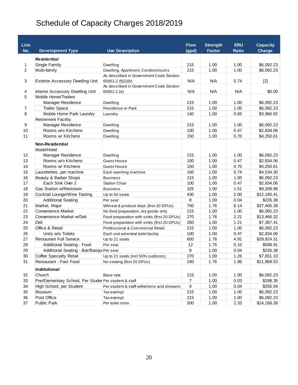### Schedule of Capacity Charges 2018/2019

| Line<br>No.    | <b>Development Type</b>                               | <b>Use Description</b>                                         | <b>Flow</b><br>(gpd) | <b>Strength</b><br><b>Factor</b> | <b>ERU</b><br><b>Ratio</b> | <b>Capacity</b><br><b>Charge</b> |
|----------------|-------------------------------------------------------|----------------------------------------------------------------|----------------------|----------------------------------|----------------------------|----------------------------------|
|                |                                                       |                                                                |                      |                                  |                            |                                  |
|                | <b>Residential</b>                                    |                                                                |                      |                                  |                            |                                  |
| 1              | Single Family                                         | <b>Dwelling</b>                                                | 215                  | 1.00                             | 1.00                       | \$6,092.23                       |
| $\overline{2}$ | Multi-family                                          | Dwelling, Apartment, Condominiums                              | 215                  | 1.00                             | 1.00                       | \$6,092.23                       |
| 3              | <b>Exterior Accessory Dwelling Unit</b>               | As described in Government Code Section<br>65852.2 $(f)(2)(b)$ | N/A                  | N/A                              | 0.74                       | $[2]$                            |
| 4              | Interior Accessory Dwelling Unit                      | As described in Government Code Section<br>65852.2 (e)         | N/A                  | N/A                              | N/A                        | \$0.00                           |
| 5              | <b>Mobile Home/Trailers</b>                           |                                                                |                      |                                  |                            |                                  |
|                | <b>Manager Residence</b>                              | Dwelling                                                       | 215                  | 1.00                             | 1.00                       | \$6,092.23                       |
| 7              | <b>Trailer Space</b>                                  | Residence or Park                                              | 215                  | 1.00                             | 1.00                       | \$6,092.23                       |
| 8              | Mobile Home Park Laundry                              | Laundry                                                        | 140                  | 1.00                             | 0.65                       | \$3,966.92                       |
|                | <b>Retirement Facility</b>                            |                                                                |                      |                                  |                            |                                  |
| 9              | Manager Residence                                     | Dwelling                                                       | 215                  | 1.00                             | 1.00                       | \$6,092.23                       |
| 10             | Rooms w/o Kitchens                                    | Dwelling                                                       | 100                  | 1.00                             | 0.47                       | \$2,834.06                       |
| 11             | Rooms w/ Kitchens                                     | Dwelling                                                       | 150                  | 1.00                             | 0.70                       | \$4,250.61                       |
|                | <b>Non-Residential</b><br>Motel/Hotel                 |                                                                |                      |                                  |                            |                                  |
| 12             | Manager Residence                                     | Dwelling                                                       | 215                  | 1.00                             | 1.00                       | \$6,092.23                       |
| 13             | Rooms w/o Kitchens                                    | Guest House                                                    | 100                  | 1.00                             | 0.47                       | \$2,834.06                       |
| 14             | Rooms w/ Kitchens                                     | Guest House                                                    | 150                  | 1.00                             | 0.70                       | \$4,250.61                       |
| 15             | Laundrettes, per machine                              | Each washing machine                                           | 160                  | 1.00                             | 0.74                       | \$4,534.30                       |
| 16             | Beauty & Barber Shops                                 | <b>Business</b>                                                | 215                  | 1.00                             | 1.00                       | \$6,092.23                       |
| 17             | Each Sink Over 2                                      | <b>Station Chair</b>                                           | 100                  | 1.00                             | 0.47                       | \$2,834.06                       |
| 18             | Gas Station w/Restroom                                | <b>Business</b>                                                | 325                  | 1.00                             | 1.51                       | \$9,209.98                       |
| 19             | Cocktail Lounge/Wine Tasting                          | Up to 50 seats                                                 | 430                  | 1.00                             | 2.00                       | \$12,185.41                      |
| 20             | <b>Additional Seating</b>                             | Per seat                                                       | 8                    | 1.00                             | 0.04                       | \$226.38                         |
| 21             | Market, Major                                         | W/meat & produce dept. (first 20 DFUs)                         | 750                  | 1.76                             | 6.14                       | \$37,405.39                      |
| 22             | <b>Convenience Market</b>                             | No food preparation, dry goods only                            | 215                  | 1.00                             | 1.00                       | \$6,092.23                       |
| 23             | Convenience Market w/Deli                             | Food preparation with sinks (first 20 DFUs)                    | 270                  | 1.76                             | 2.21                       | \$13,466.32                      |
| 24             | Deli                                                  | Food preparation with sinks (first 20 DFUs)                    | 260                  | 1.00                             | 1.21                       | \$7,367.41                       |
| 25             | Office & Retail                                       | Professional & Commercial Retail                               | 215                  | 1.00                             | 1.00                       | \$6,092.23                       |
| 26             | Units w/o Toilets                                     | Each unit w/central toilet facility                            | 100                  | 1.00                             | 0.47                       | \$2,834.06                       |
| 27             | <b>Restaurant Full Service</b>                        | Up to 21 seats                                                 | 600                  | 1.76                             | 4.91                       | \$29,924.31                      |
| 28             | <b>Additional Seating - Food</b>                      | Per seat                                                       | 12                   | 1.76                             | 0.10                       | \$598.91                         |
| 29             | Additional Seating - Bar/Bangu Per seat               |                                                                | 8                    | 1.00                             | 0.04                       | \$226.38                         |
| 30             | Coffee Specialty Retail                               | Up to 21 seats (incl 50% outdoors)                             | 270                  | 1.00                             | 1.26                       | \$7,651.10                       |
| 31             | Restaurant - Fast Food                                | No seating (first 20 DFUs)                                     | 240                  | 1.76                             | 1.96                       | \$11,969.53                      |
|                | Institutional                                         |                                                                |                      |                                  |                            |                                  |
| 32             | Church                                                | Base rate                                                      | 215                  | 1.00                             | 1.00                       | \$6,092.23                       |
| 33             | Pre/Elementary School, Per Studer Per student & staff |                                                                | $\boldsymbol{7}$     | 1.00                             | 0.03                       | \$198.35                         |
| 34             | High School, per Student                              | Per student & staff w/kitchens and showers                     | $\boldsymbol{9}$     | 1.00                             | 0.04                       | \$255.04                         |
| 35             | Museum                                                | Tax exempt                                                     | 215                  | 1.00                             | 1.00                       | \$6,092.23                       |
| 36             | Post Office                                           | Tax exempt                                                     | 215                  | 1.00                             | 1.00                       | \$6,092.23                       |
| 37             | Public Park                                           | Per toilet room                                                | 500                  | 1.00                             | 2.33                       | \$14,168.39                      |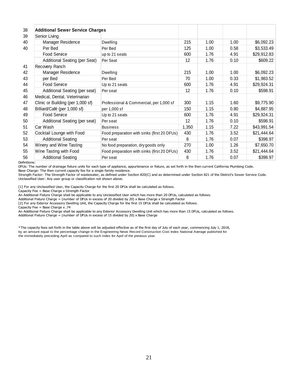| 38 | <b>Additional Sewer Service Charges</b> |                                             |       |      |      |             |
|----|-----------------------------------------|---------------------------------------------|-------|------|------|-------------|
| 39 | Senior Living                           |                                             |       |      |      |             |
| 40 | Manager Residence                       | Dwelling                                    | 215   | 1.00 | 1.00 | \$6,092.23  |
| 40 | Per Bed                                 | Per Bed                                     | 125   | 1.00 | 0.58 | \$3,533.49  |
|    | Food Service                            | up to 21 seats                              | 600   | 1.76 | 4.91 | \$29,912.83 |
|    | Additional Seating (per Seat)           | Per Seat                                    | 12    | 1.76 | 0.10 | \$609.22    |
| 41 | Recovery Ranch                          |                                             |       |      |      |             |
| 42 | Manager Residence                       | Dwelling                                    | 215   | 1.00 | 1.00 | \$6,092.23  |
| 43 | per Bed                                 | Per Bed                                     | 70    | 1.00 | 0.33 | \$1,983.52  |
| 44 | Food Service                            | Up to 21 seats                              | 600   | 1.76 | 4.91 | \$29,924.31 |
| 45 | Additional Seating (per seat)           | Per seat                                    | 12    | 1.76 | 0.10 | \$598.91    |
| 46 | Medical, Dental, Veterinarian           |                                             |       |      |      |             |
| 47 | Clinic or Building (per 1,000 sf)       | Professional & Commercial, per 1,000 sf     | 300   | 1.15 | 1.60 | \$9,775.90  |
| 48 | Billiard/Café (per 1,000 sf)            | per 1,000 sf                                | 150   | 1.15 | 0.80 | \$4,887.95  |
| 49 | Food Service                            | Up to 21 seats                              | 600   | 1.76 | 4.91 | \$29,924.31 |
| 50 | Additional Seating (per seat)           | Per seat                                    | 12    | 1.76 | 0.10 | \$598.91    |
| 51 | Car Wash                                | <b>Business</b>                             | 1,350 | 1.15 | 7.22 | \$43,991.54 |
| 52 | Cocktail Lounge with Food               | Food preparation with sinks (first 20 DFUs) | 430   | 1.76 | 3.52 | \$21,444.64 |
| 53 | <b>Additional Seating</b>               | Per seat                                    | 8     | 1.76 | 0.07 | \$398.97    |
| 54 | Winery and Wine Tasting                 | No food preparation, dry goods only         | 270   | 1.00 | 1.26 | \$7,650.70  |
| 55 | Wine Tasting with Food                  | Food preparation with sinks (first 20 DFUs) | 430   | 1.76 | 3.52 | \$21,444.64 |
| 56 | <b>Additional Seating</b>               | Per seat                                    | 8     | 1.76 | 0.07 | \$398.97    |

Definitions:

DFUs: The number of drainage fixture units for each type of appliance, appurtenance or fixture, as set forth in the then current California Plumbing Code. Base Charge: The then current capacity fee for a single family residence.

Strength Factor: The Strength Factor of wastewater, as defined under Section 820(C) and as determined under Section 821 of the District's Sewer Service Code. Unclassified User: Any user group or classification not shown above.

[1] For any Unclassified User, the Capacity Charge for the first 20 DFUs shall be calculated as follows.

Capacity Fee = Base Charge x Strength Factor

An Additional Fixture Charge shall be applicable to any Unclassified User which has more than 20 DFUs, calculated as follows.

Additional Fixture Charge = (number of DFUs in excess of 20 divided by 20) x Base Charge x Strength Factor

[2] For any Exterior Accessory Dwelling Unit, the Capacity Charge for the first 15 DFUs shall be calculated as follows.

Capacity Fee = Base Charge x .74

An Additional Fixture Charge shall be applicable to any Exterior Accessory Dwelling Unit which has more than 15 DFUs, calculated as follows. Additional Fixture Charge = (number of DFUs in excess of 15 divided by 20)  $\times$  Base Charge

\*The capacity fees set forth in the table above will be adjusted effective as of the first day of July of each year, commencing July 1, 2018, by an amount equal to the percentage change in the Engineering News Record Construction Cost Index National Average published for the immediately preceding April as compared to such index for April of the previous year.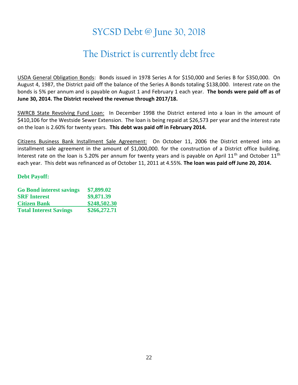### SYCSD Debt @ June 30, 2018

### The District is currently debt free

USDA General Obligation Bonds: Bonds issued in 1978 Series A for \$150,000 and Series B for \$350,000. On August 4, 1987, the District paid off the balance of the Series A Bonds totaling \$138,000. Interest rate on the bonds is 5% per annum and is payable on August 1 and February 1 each year. **The bonds were paid off as of June 30, 2014. The District received the revenue through 2017/18.**

SWRCB State Revolving Fund Loan: In December 1998 the District entered into a loan in the amount of \$410,106 for the Westside Sewer Extension. The loan is being repaid at \$26,573 per year and the interest rate on the loan is 2.60% for twenty years. **This debt was paid off in February 2014.** 

Citizens Business Bank Installment Sale Agreement: On October 11, 2006 the District entered into an installment sale agreement in the amount of \$1,000,000. for the construction of a District office building. Interest rate on the loan is 5.20% per annum for twenty years and is payable on April 11<sup>th</sup> and October 11<sup>th</sup> each year. This debt was refinanced as of October 11, 2011 at 4.55%. **The loan was paid off June 20, 2014.**

#### **Debt Payoff:**

| <b>Go Bond interest savings</b> | \$7,899.02   |
|---------------------------------|--------------|
| <b>SRF</b> Interest             | \$9,871.39   |
| <b>Citizen Bank</b>             | \$248,502.30 |
| <b>Total Interest Savings</b>   | \$266,272.71 |